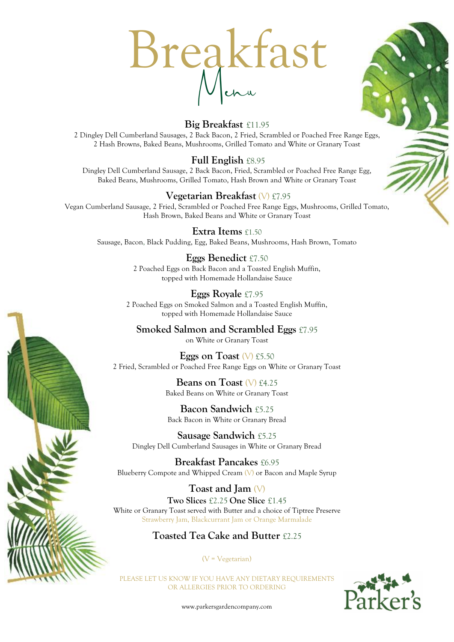



#### **Big Breakfast** £11.95

2 Dingley Dell Cumberland Sausages, 2 Back Bacon, 2 Fried, Scrambled or Poached Free Range Eggs, 2 Hash Browns, Baked Beans, Mushrooms, Grilled Tomato and White or Granary Toast

#### **Full English** £8.95

Dingley Dell Cumberland Sausage, 2 Back Bacon, Fried, Scrambled or Poached Free Range Egg, Baked Beans, Mushrooms, Grilled Tomato, Hash Brown and White or Granary Toast

#### **Vegetarian Breakfast** (V) £7.95

Vegan Cumberland Sausage, 2 Fried, Scrambled or Poached Free Range Eggs, Mushrooms, Grilled Tomato, Hash Brown, Baked Beans and White or Granary Toast

#### **Extra Items** £1.50

Sausage, Bacon, Black Pudding, Egg, Baked Beans, Mushrooms, Hash Brown, Tomato

### **Eggs Benedict** £7.50

2 Poached Eggs on Back Bacon and a Toasted English Muffin, topped with Homemade Hollandaise Sauce

**Eggs Royale** £7.95 2 Poached Eggs on Smoked Salmon and a Toasted English Muffin, topped with Homemade Hollandaise Sauce

**Smoked Salmon and Scrambled Eggs** £7.95 on White or Granary Toast

**Eggs on Toast** (V) £5.50 2 Fried, Scrambled or Poached Free Range Eggs on White or Granary Toast

> **Beans on Toast** (V) £4.25 Baked Beans on White or Granary Toast

**Bacon Sandwich** £5.25 Back Bacon in White or Granary Bread

**Sausage Sandwich** £5.25 Dingley Dell Cumberland Sausages in White or Granary Bread

**Breakfast Pancakes** £6.95 Blueberry Compote and Whipped Cream (V) or Bacon and Maple Syrup

**Toast and Jam** (V) **Two Slices** £2.25 **One Slice** £1.45 White or Granary Toast served with Butter and a choice of Tiptree Preserve Strawberry Jam, Blackcurrant Jam or Orange Marmalade

#### **Toasted Tea Cake and Butter** £2.25

(V = Vegetarian)

PLEASE LET US KNOW IF YOU HAVE ANY DIETARY REQUIREMENTS OR ALLERGIES PRIOR TO ORDERING



www.parkersgardencompany.com